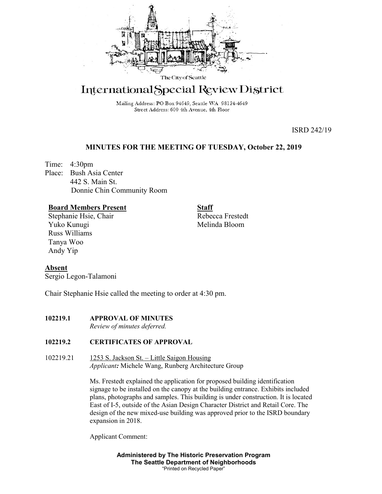

# International Special Review District

Mailing Address: PO Box 94649, Seattle WA 98124-4649 Street Address: 600 4th Avenue, 4th Floor

ISRD 242/19

# **MINUTES FOR THE MEETING OF TUESDAY, October 22, 2019**

Time: 4:30pm Place: Bush Asia Center 442 S. Main St. Donnie Chin Community Room

# **Board Members Present**

Stephanie Hsie, Chair Yuko Kunugi Russ Williams Tanya Woo Andy Yip

**Staff** Rebecca Frestedt Melinda Bloom

# **Absent**

Sergio Legon-Talamoni

Chair Stephanie Hsie called the meeting to order at 4:30 pm.

# **102219.1 APPROVAL OF MINUTES**

*Review of minutes deferred.* 

# **102219.2 CERTIFICATES OF APPROVAL**

102219.21 1253 S. Jackson St. – Little Saigon Housing *Applicant:* Michele Wang, Runberg Architecture Group

> Ms. Frestedt explained the application for proposed building identification signage to be installed on the canopy at the building entrance. Exhibits included plans, photographs and samples. This building is under construction. It is located East of I-5, outside of the Asian Design Character District and Retail Core. The design of the new mixed-use building was approved prior to the ISRD boundary expansion in 2018.

Applicant Comment:

**Administered by The Historic Preservation Program The Seattle Department of Neighborhoods** "Printed on Recycled Paper"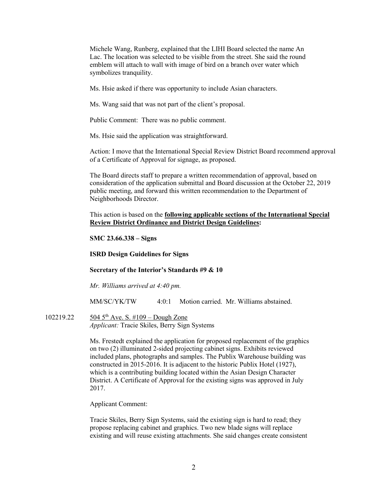Michele Wang, Runberg, explained that the LIHI Board selected the name An Lac. The location was selected to be visible from the street. She said the round emblem will attach to wall with image of bird on a branch over water which symbolizes tranquility.

Ms. Hsie asked if there was opportunity to include Asian characters.

Ms. Wang said that was not part of the client's proposal.

Public Comment: There was no public comment.

Ms. Hsie said the application was straightforward.

Action: I move that the International Special Review District Board recommend approval of a Certificate of Approval for signage, as proposed.

The Board directs staff to prepare a written recommendation of approval, based on consideration of the application submittal and Board discussion at the October 22, 2019 public meeting, and forward this written recommendation to the Department of Neighborhoods Director.

This action is based on the **following applicable sections of the International Special Review District Ordinance and District Design Guidelines:** 

## **SMC 23.66.338 – Signs**

## **ISRD Design Guidelines for Signs**

#### **Secretary of the Interior's Standards #9 & 10**

*Mr. Williams arrived at 4:40 pm.*

MM/SC/YK/TW 4:0:1 Motion carried. Mr. Williams abstained.

102219.22 504 5<sup>th</sup> Ave. S. #109 – Dough Zone *Applicant:* Tracie Skiles, Berry Sign Systems

> Ms. Frestedt explained the application for proposed replacement of the graphics on two (2) illuminated 2-sided projecting cabinet signs. Exhibits reviewed included plans, photographs and samples. The Publix Warehouse building was constructed in 2015-2016. It is adjacent to the historic Publix Hotel (1927), which is a contributing building located within the Asian Design Character District. A Certificate of Approval for the existing signs was approved in July 2017.

Applicant Comment:

Tracie Skiles, Berry Sign Systems, said the existing sign is hard to read; they propose replacing cabinet and graphics. Two new blade signs will replace existing and will reuse existing attachments. She said changes create consistent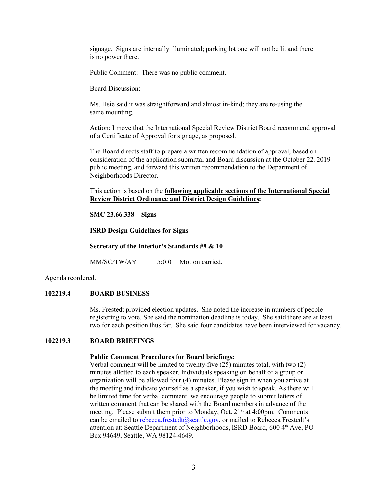signage. Signs are internally illuminated; parking lot one will not be lit and there is no power there.

Public Comment: There was no public comment.

Board Discussion:

Ms. Hsie said it was straightforward and almost in-kind; they are re-using the same mounting.

Action: I move that the International Special Review District Board recommend approval of a Certificate of Approval for signage, as proposed.

The Board directs staff to prepare a written recommendation of approval, based on consideration of the application submittal and Board discussion at the October 22, 2019 public meeting, and forward this written recommendation to the Department of Neighborhoods Director.

This action is based on the **following applicable sections of the International Special Review District Ordinance and District Design Guidelines:** 

**SMC 23.66.338 – Signs**

**ISRD Design Guidelines for Signs**

**Secretary of the Interior's Standards #9 & 10**

MM/SC/TW/AY 5:0:0 Motion carried.

Agenda reordered.

## **102219.4 BOARD BUSINESS**

Ms. Frestedt provided election updates. She noted the increase in numbers of people registering to vote. She said the nomination deadline is today. She said there are at least two for each position thus far. She said four candidates have been interviewed for vacancy.

## **102219.3 BOARD BRIEFINGS**

## **Public Comment Procedures for Board briefings:**

Verbal comment will be limited to twenty-five (25) minutes total, with two (2) minutes allotted to each speaker. Individuals speaking on behalf of a group or organization will be allowed four (4) minutes. Please sign in when you arrive at the meeting and indicate yourself as a speaker, if you wish to speak. As there will be limited time for verbal comment, we encourage people to submit letters of written comment that can be shared with the Board members in advance of the meeting. Please submit them prior to Monday, Oct. 21<sup>st</sup> at 4:00pm. Comments can be emailed to [rebecca.frestedt@seattle.gov,](mailto:rebecca.frestedt@seattle.gov) or mailed to Rebecca Frestedt's attention at: Seattle Department of Neighborhoods, ISRD Board, 600 4<sup>th</sup> Ave, PO Box 94649, Seattle, WA 98124-4649.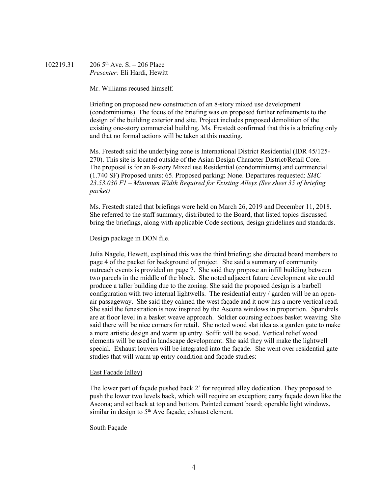102219.31 206 5<sup>th</sup> Ave. S. – 206 Place *Presenter:* Eli Hardi, Hewitt

Mr. Williams recused himself.

Briefing on proposed new construction of an 8-story mixed use development (condominiums). The focus of the briefing was on proposed further refinements to the design of the building exterior and site. Project includes proposed demolition of the existing one-story commercial building. Ms. Frestedt confirmed that this is a briefing only and that no formal actions will be taken at this meeting.

Ms. Frestedt said the underlying zone is International District Residential (IDR 45/125- 270). This site is located outside of the Asian Design Character District/Retail Core. The proposal is for an 8-story Mixed use Residential (condominiums) and commercial (1.740 SF) Proposed units: 65. Proposed parking: None. Departures requested: *SMC 23.53.030 F1 – Minimum Width Required for Existing Alleys (See sheet 35 of briefing packet)*

Ms. Frestedt stated that briefings were held on March 26, 2019 and December 11, 2018. She referred to the staff summary, distributed to the Board, that listed topics discussed bring the briefings, along with applicable Code sections, design guidelines and standards.

Design package in DON file.

Julia Nagele, Hewett, explained this was the third briefing; she directed board members to page 4 of the packet for background of project. She said a summary of community outreach events is provided on page 7. She said they propose an infill building between two parcels in the middle of the block. She noted adjacent future development site could produce a taller building due to the zoning. She said the proposed design is a barbell configuration with two internal lightwells. The residential entry / garden will be an openair passageway. She said they calmed the west façade and it now has a more vertical read. She said the fenestration is now inspired by the Ascona windows in proportion. Spandrels are at floor level in a basket weave approach. Soldier coursing echoes basket weaving. She said there will be nice corners for retail. She noted wood slat idea as a garden gate to make a more artistic design and warm up entry. Soffit will be wood. Vertical relief wood elements will be used in landscape development. She said they will make the lightwell special. Exhaust louvers will be integrated into the façade. She went over residential gate studies that will warm up entry condition and façade studies:

#### East Façade (alley)

The lower part of façade pushed back 2' for required alley dedication. They proposed to push the lower two levels back, which will require an exception; carry façade down like the Ascona; and set back at top and bottom. Painted cement board; operable light windows, similar in design to  $5<sup>th</sup>$  Ave façade; exhaust element.

#### South Façade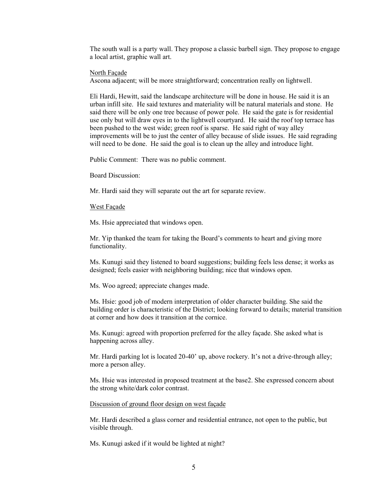The south wall is a party wall. They propose a classic barbell sign. They propose to engage a local artist, graphic wall art.

North Façade

Ascona adjacent; will be more straightforward; concentration really on lightwell.

Eli Hardi, Hewitt, said the landscape architecture will be done in house. He said it is an urban infill site. He said textures and materiality will be natural materials and stone. He said there will be only one tree because of power pole. He said the gate is for residential use only but will draw eyes in to the lightwell courtyard. He said the roof top terrace has been pushed to the west wide; green roof is sparse. He said right of way alley improvements will be to just the center of alley because of slide issues. He said regrading will need to be done. He said the goal is to clean up the alley and introduce light.

Public Comment: There was no public comment.

Board Discussion:

Mr. Hardi said they will separate out the art for separate review.

West Façade

Ms. Hsie appreciated that windows open.

Mr. Yip thanked the team for taking the Board's comments to heart and giving more functionality.

Ms. Kunugi said they listened to board suggestions; building feels less dense; it works as designed; feels easier with neighboring building; nice that windows open.

Ms. Woo agreed; appreciate changes made.

Ms. Hsie: good job of modern interpretation of older character building. She said the building order is characteristic of the District; looking forward to details; material transition at corner and how does it transition at the cornice.

Ms. Kunugi: agreed with proportion preferred for the alley façade. She asked what is happening across alley.

Mr. Hardi parking lot is located 20-40' up, above rockery. It's not a drive-through alley; more a person alley.

Ms. Hsie was interested in proposed treatment at the base2. She expressed concern about the strong white/dark color contrast.

Discussion of ground floor design on west façade

Mr. Hardi described a glass corner and residential entrance, not open to the public, but visible through.

Ms. Kunugi asked if it would be lighted at night?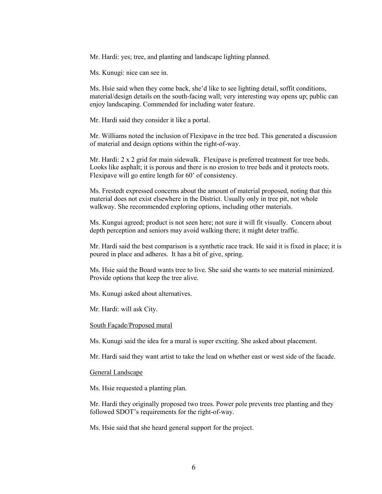Mr. Hardi: yes; tree, and planting and landscape lighting planned.

Ms. Kunugi: nice can see in.

Ms. Hsie said when they come back, she'd like to see lighting detail, soffit conditions, material/design details on the south-facing wall; very interesting way opens up; public can enjoy landscaping. Commended for including water feature.

Mr. Hardi said they consider it like a portal.

Mr. Williams noted the inclusion of Flexipave in the tree bed. This generated a discussion of material and design options within the right-of-way.

Mr. Hardi: 2 x 2 grid for main sidewalk. Flexipave is preferred treatment for tree beds. Looks like asphalt; it is porous and there is no erosion to tree beds and it protects roots. Flexipave will go entire length for 60' of consistency.

Ms. Frestedt expressed concerns about the amount of material proposed, noting that this material does not exist elsewhere in the District. Usually only in tree pit, not whole walkway. She recommended exploring options, including other materials.

Ms. Kungui agreed; product is not seen here; not sure it will fit visually. Concern about depth perception and seniors may avoid walking there; it might deter traffic.

Mr. Hardi said the best comparison is a synthetic race track. He said it is fixed in place; it is poured in place and adheres. It has a bit of give, spring.

Ms. Hsie said the Board wants tree to live. She said she wants to see material minimized. Provide options that keep the tree alive.

Ms. Kunugi asked about alternatives.

Mr. Hardi: will ask City.

### South Façade/Proposed mural

Ms. Kunugi said the idea for a mural is super exciting. She asked about placement.

Mr. Hardi said they want artist to take the lead on whether east or west side of the facade.

## General Landscape

Ms. Hsie requested a planting plan.

Mr. Hardi they originally proposed two trees. Power pole prevents tree planting and they followed SDOT's requirements for the right-of-way.

Ms. Hsie said that she heard general support for the project.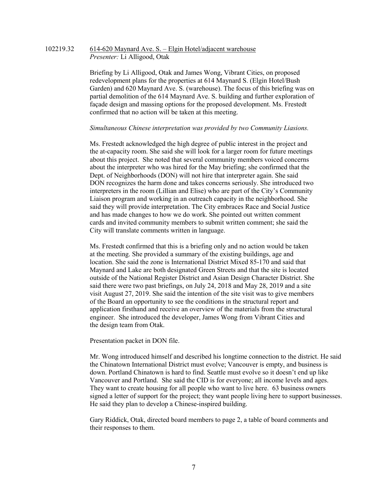## 102219.32 614-620 Maynard Ave. S. – Elgin Hotel/adjacent warehouse *Presenter:* Li Alligood, Otak

Briefing by Li Alligood, Otak and James Wong, Vibrant Cities, on proposed redevelopment plans for the properties at 614 Maynard S. (Elgin Hotel/Bush Garden) and 620 Maynard Ave. S. (warehouse). The focus of this briefing was on partial demolition of the 614 Maynard Ave. S. building and further exploration of façade design and massing options for the proposed development. Ms. Frestedt confirmed that no action will be taken at this meeting.

#### *Simultaneous Chinese interpretation was provided by two Community Liasions.*

Ms. Frestedt acknowledged the high degree of public interest in the project and the at-capacity room. She said she will look for a larger room for future meetings about this project. She noted that several community members voiced concerns about the interpreter who was hired for the May briefing; she confirmed that the Dept. of Neighborhoods (DON) will not hire that interpreter again. She said DON recognizes the harm done and takes concerns seriously. She introduced two interpreters in the room (Lillian and Elise) who are part of the City's Community Liaison program and working in an outreach capacity in the neighborhood. She said they will provide interpretation. The City embraces Race and Social Justice and has made changes to how we do work. She pointed out written comment cards and invited community members to submit written comment; she said the City will translate comments written in language.

Ms. Frestedt confirmed that this is a briefing only and no action would be taken at the meeting. She provided a summary of the existing buildings, age and location. She said the zone is International District Mixed 85-170 and said that Maynard and Lake are both designated Green Streets and that the site is located outside of the National Register District and Asian Design Character District. She said there were two past briefings, on July 24, 2018 and May 28, 2019 and a site visit August 27, 2019. She said the intention of the site visit was to give members of the Board an opportunity to see the conditions in the structural report and application firsthand and receive an overview of the materials from the structural engineer. She introduced the developer, James Wong from Vibrant Cities and the design team from Otak.

Presentation packet in DON file.

Mr. Wong introduced himself and described his longtime connection to the district. He said the Chinatown International District must evolve; Vancouver is empty, and business is down. Portland Chinatown is hard to find. Seattle must evolve so it doesn't end up like Vancouver and Portland. She said the CID is for everyone; all income levels and ages. They want to create housing for all people who want to live here. 63 business owners signed a letter of support for the project; they want people living here to support businesses. He said they plan to develop a Chinese-inspired building.

Gary Riddick, Otak, directed board members to page 2, a table of board comments and their responses to them.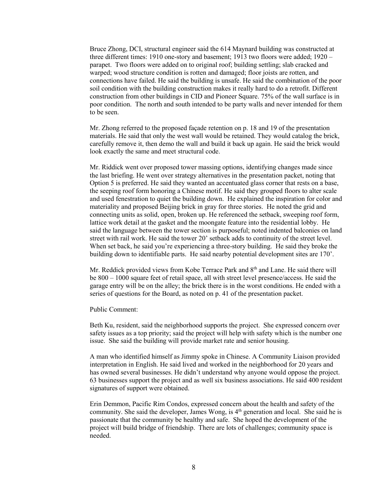Bruce Zhong, DCI, structural engineer said the 614 Maynard building was constructed at three different times: 1910 one-story and basement; 1913 two floors were added; 1920 – parapet. Two floors were added on to original roof; building settling; slab cracked and warped; wood structure condition is rotten and damaged; floor joists are rotten, and connections have failed. He said the building is unsafe. He said the combination of the poor soil condition with the building construction makes it really hard to do a retrofit. Different construction from other buildings in CID and Pioneer Square. 75% of the wall surface is in poor condition. The north and south intended to be party walls and never intended for them to be seen.

Mr. Zhong referred to the proposed façade retention on p. 18 and 19 of the presentation materials. He said that only the west wall would be retained. They would catalog the brick, carefully remove it, then demo the wall and build it back up again. He said the brick would look exactly the same and meet structural code.

Mr. Riddick went over proposed tower massing options, identifying changes made since the last briefing. He went over strategy alternatives in the presentation packet, noting that Option 5 is preferred. He said they wanted an accentuated glass corner that rests on a base, the seeping roof form honoring a Chinese motif. He said they grouped floors to alter scale and used fenestration to quiet the building down. He explained the inspiration for color and materiality and proposed Beijing brick in gray for three stories. He noted the grid and connecting units as solid, open, broken up. He referenced the setback, sweeping roof form, lattice work detail at the gasket and the moongate feature into the residential lobby. He said the language between the tower section is purposeful; noted indented balconies on land street with rail work. He said the tower 20' setback adds to continuity of the street level. When set back, he said you're experiencing a three-story building. He said they broke the building down to identifiable parts. He said nearby potential development sites are 170'.

Mr. Reddick provided views from Kobe Terrace Park and 8<sup>th</sup> and Lane. He said there will be 800 – 1000 square feet of retail space, all with street level presence/access. He said the garage entry will be on the alley; the brick there is in the worst conditions. He ended with a series of questions for the Board, as noted on p. 41 of the presentation packet.

Public Comment:

Beth Ku, resident, said the neighborhood supports the project. She expressed concern over safety issues as a top priority; said the project will help with safety which is the number one issue. She said the building will provide market rate and senior housing.

A man who identified himself as Jimmy spoke in Chinese. A Community Liaison provided interpretation in English. He said lived and worked in the neighborhood for 20 years and has owned several businesses. He didn't understand why anyone would oppose the project. 63 businesses support the project and as well six business associations. He said 400 resident signatures of support were obtained.

Erin Demmon, Pacific Rim Condos, expressed concern about the health and safety of the community. She said the developer, James Wong, is 4<sup>th</sup> generation and local. She said he is passionate that the community be healthy and safe. She hoped the development of the project will build bridge of friendship. There are lots of challenges; community space is needed.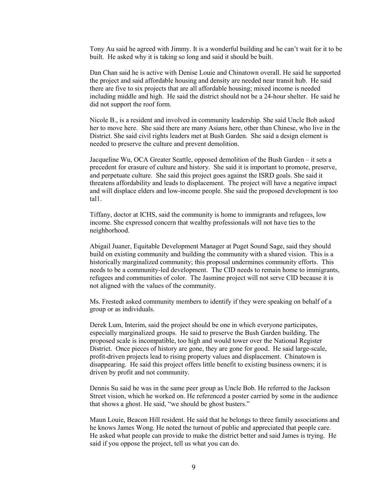Tony Au said he agreed with Jimmy. It is a wonderful building and he can't wait for it to be built. He asked why it is taking so long and said it should be built.

Dan Chan said he is active with Denise Louie and Chinatown overall. He said he supported the project and said affordable housing and density are needed near transit hub. He said there are five to six projects that are all affordable housing; mixed income is needed including middle and high. He said the district should not be a 24-hour shelter. He said he did not support the roof form.

Nicole B., is a resident and involved in community leadership. She said Uncle Bob asked her to move here. She said there are many Asians here, other than Chinese, who live in the District. She said civil rights leaders met at Bush Garden. She said a design element is needed to preserve the culture and prevent demolition.

Jacqueline Wu, OCA Greater Seattle, opposed demolition of the Bush Garden – it sets a precedent for erasure of culture and history. She said it is important to promote, preserve, and perpetuate culture. She said this project goes against the ISRD goals. She said it threatens affordability and leads to displacement. The project will have a negative impact and will displace elders and low-income people. She said the proposed development is too tal1.

Tiffany, doctor at ICHS, said the community is home to immigrants and refugees, low income. She expressed concern that wealthy professionals will not have ties to the neighborhood.

Abigail Juaner, Equitable Development Manager at Puget Sound Sage, said they should build on existing community and building the community with a shared vision. This is a historically marginalized community; this proposal undermines community efforts. This needs to be a community-led development. The CID needs to remain home to immigrants, refugees and communities of color. The Jasmine project will not serve CID because it is not aligned with the values of the community.

Ms. Frestedt asked community members to identify if they were speaking on behalf of a group or as individuals.

Derek Lum, Interim, said the project should be one in which everyone participates, especially marginalized groups. He said to preserve the Bush Garden building. The proposed scale is incompatible, too high and would tower over the National Register District. Once pieces of history are gone, they are gone for good. He said large-scale, profit-driven projects lead to rising property values and displacement. Chinatown is disappearing. He said this project offers little benefit to existing business owners; it is driven by profit and not community.

Dennis Su said he was in the same peer group as Uncle Bob. He referred to the Jackson Street vision, which he worked on. He referenced a poster carried by some in the audience that shows a ghost. He said, "we should be ghost busters."

Maun Louie, Beacon Hill resident. He said that he belongs to three family associations and he knows James Wong. He noted the turnout of public and appreciated that people care. He asked what people can provide to make the district better and said James is trying. He said if you oppose the project, tell us what you can do.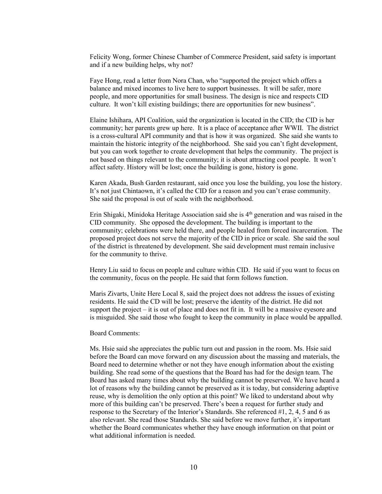Felicity Wong, former Chinese Chamber of Commerce President, said safety is important and if a new building helps, why not?

Faye Hong, read a letter from Nora Chan, who "supported the project which offers a balance and mixed incomes to live here to support businesses. It will be safer, more people, and more opportunities for small business. The design is nice and respects CID culture. It won't kill existing buildings; there are opportunities for new business".

Elaine Ishihara, API Coalition, said the organization is located in the CID; the CID is her community; her parents grew up here. It is a place of acceptance after WWII. The district is a cross-cultural API community and that is how it was organized. She said she wants to maintain the historic integrity of the neighborhood. She said you can't fight development, but you can work together to create development that helps the community. The project is not based on things relevant to the community; it is about attracting cool people. It won't affect safety. History will be lost; once the building is gone, history is gone.

Karen Akada, Bush Garden restaurant, said once you lose the building, you lose the history. It's not just Chintaown, it's called the CID for a reason and you can't erase community. She said the proposal is out of scale with the neighborhood.

Erin Shigaki, Minidoka Heritage Association said she is 4th generation and was raised in the CID community. She opposed the development. The building is important to the community; celebrations were held there, and people healed from forced incarceration. The proposed project does not serve the majority of the CID in price or scale. She said the soul of the district is threatened by development. She said development must remain inclusive for the community to thrive.

Henry Liu said to focus on people and culture within CID. He said if you want to focus on the community, focus on the people. He said that form follows function.

Maris Zivarts, Unite Here Local 8, said the project does not address the issues of existing residents. He said the CD will be lost; preserve the identity of the district. He did not support the project – it is out of place and does not fit in. It will be a massive eyesore and is misguided. She said those who fought to keep the community in place would be appalled.

# Board Comments:

Ms. Hsie said she appreciates the public turn out and passion in the room. Ms. Hsie said before the Board can move forward on any discussion about the massing and materials, the Board need to determine whether or not they have enough information about the existing building. She read some of the questions that the Board has had for the design team. The Board has asked many times about why the building cannot be preserved. We have heard a lot of reasons why the building cannot be preserved as it is today, but considering adaptive reuse, why is demolition the only option at this point? We liked to understand about why more of this building can't be preserved. There's been a request for further study and response to the Secretary of the Interior's Standards. She referenced #1, 2, 4, 5 and 6 as also relevant. She read those Standards. She said before we move further, it's important whether the Board communicates whether they have enough information on that point or what additional information is needed.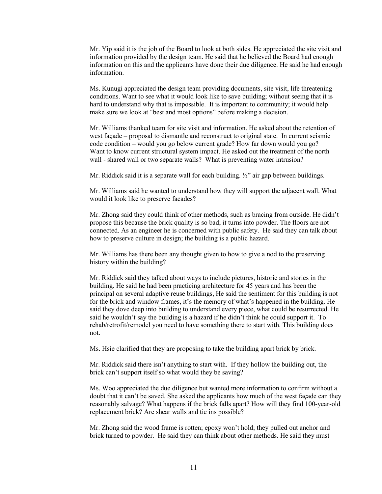Mr. Yip said it is the job of the Board to look at both sides. He appreciated the site visit and information provided by the design team. He said that he believed the Board had enough information on this and the applicants have done their due diligence. He said he had enough information.

Ms. Kunugi appreciated the design team providing documents, site visit, life threatening conditions. Want to see what it would look like to save building; without seeing that it is hard to understand why that is impossible. It is important to community; it would help make sure we look at "best and most options" before making a decision.

Mr. Williams thanked team for site visit and information. He asked about the retention of west façade – proposal to dismantle and reconstruct to original state. In current seismic code condition – would you go below current grade? How far down would you go? Want to know current structural system impact. He asked out the treatment of the north wall - shared wall or two separate walls? What is preventing water intrusion?

Mr. Riddick said it is a separate wall for each building. ½" air gap between buildings.

Mr. Williams said he wanted to understand how they will support the adjacent wall. What would it look like to preserve facades?

Mr. Zhong said they could think of other methods, such as bracing from outside. He didn't propose this because the brick quality is so bad; it turns into powder. The floors are not connected. As an engineer he is concerned with public safety. He said they can talk about how to preserve culture in design; the building is a public hazard.

Mr. Williams has there been any thought given to how to give a nod to the preserving history within the building?

Mr. Riddick said they talked about ways to include pictures, historic and stories in the building. He said he had been practicing architecture for 45 years and has been the principal on several adaptive reuse buildings, He said the sentiment for this building is not for the brick and window frames, it's the memory of what's happened in the building. He said they dove deep into building to understand every piece, what could be resurrected. He said he wouldn't say the building is a hazard if he didn't think he could support it. To rehab/retrofit/remodel you need to have something there to start with. This building does not.

Ms. Hsie clarified that they are proposing to take the building apart brick by brick.

Mr. Riddick said there isn't anything to start with. If they hollow the building out, the brick can't support itself so what would they be saving?

Ms. Woo appreciated the due diligence but wanted more information to confirm without a doubt that it can't be saved. She asked the applicants how much of the west façade can they reasonably salvage? What happens if the brick falls apart? How will they find 100-year-old replacement brick? Are shear walls and tie ins possible?

Mr. Zhong said the wood frame is rotten; epoxy won't hold; they pulled out anchor and brick turned to powder. He said they can think about other methods. He said they must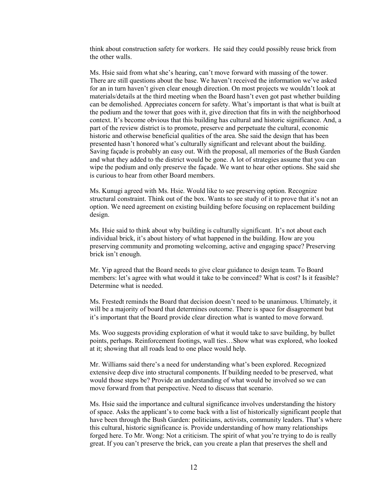think about construction safety for workers. He said they could possibly reuse brick from the other walls.

Ms. Hsie said from what she's hearing, can't move forward with massing of the tower. There are still questions about the base. We haven't received the information we've asked for an in turn haven't given clear enough direction. On most projects we wouldn't look at materials/details at the third meeting when the Board hasn't even got past whether building can be demolished. Appreciates concern for safety. What's important is that what is built at the podium and the tower that goes with it, give direction that fits in with the neighborhood context. It's become obvious that this building has cultural and historic significance. And, a part of the review district is to promote, preserve and perpetuate the cultural, economic historic and otherwise beneficial qualities of the area. She said the design that has been presented hasn't honored what's culturally significant and relevant about the building. Saving façade is probably an easy out. With the proposal, all memories of the Bush Garden and what they added to the district would be gone. A lot of strategies assume that you can wipe the podium and only preserve the façade. We want to hear other options. She said she is curious to hear from other Board members.

Ms. Kunugi agreed with Ms. Hsie. Would like to see preserving option. Recognize structural constraint. Think out of the box. Wants to see study of it to prove that it's not an option. We need agreement on existing building before focusing on replacement building design.

Ms. Hsie said to think about why building is culturally significant. It's not about each individual brick, it's about history of what happened in the building. How are you preserving community and promoting welcoming, active and engaging space? Preserving brick isn't enough.

Mr. Yip agreed that the Board needs to give clear guidance to design team. To Board members: let's agree with what would it take to be convinced? What is cost? Is it feasible? Determine what is needed.

Ms. Frestedt reminds the Board that decision doesn't need to be unanimous. Ultimately, it will be a majority of board that determines outcome. There is space for disagreement but it's important that the Board provide clear direction what is wanted to move forward.

Ms. Woo suggests providing exploration of what it would take to save building, by bullet points, perhaps. Reinforcement footings, wall ties…Show what was explored, who looked at it; showing that all roads lead to one place would help.

Mr. Williams said there's a need for understanding what's been explored. Recognized extensive deep dive into structural components. If building needed to be preserved, what would those steps be? Provide an understanding of what would be involved so we can move forward from that perspective. Need to discuss that scenario.

Ms. Hsie said the importance and cultural significance involves understanding the history of space. Asks the applicant's to come back with a list of historically significant people that have been through the Bush Garden: politicians, activists, community leaders. That's where this cultural, historic significance is. Provide understanding of how many relationships forged here. To Mr. Wong: Not a criticism. The spirit of what you're trying to do is really great. If you can't preserve the brick, can you create a plan that preserves the shell and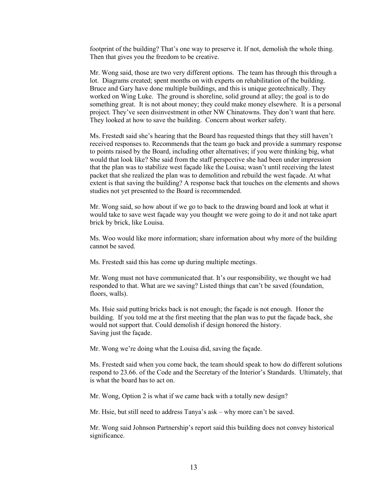footprint of the building? That's one way to preserve it. If not, demolish the whole thing. Then that gives you the freedom to be creative.

Mr. Wong said, those are two very different options. The team has through this through a lot. Diagrams created; spent months on with experts on rehabilitation of the building. Bruce and Gary have done multiple buildings, and this is unique geotechnically. They worked on Wing Luke. The ground is shoreline, solid ground at alley; the goal is to do something great. It is not about money; they could make money elsewhere. It is a personal project. They've seen disinvestment in other NW Chinatowns. They don't want that here. They looked at how to save the building. Concern about worker safety.

Ms. Frestedt said she's hearing that the Board has requested things that they still haven't received responses to. Recommends that the team go back and provide a summary response to points raised by the Board, including other alternatives; if you were thinking big, what would that look like? She said from the staff perspective she had been under impression that the plan was to stabilize west façade like the Louisa; wasn't until receiving the latest packet that she realized the plan was to demolition and rebuild the west façade. At what extent is that saving the building? A response back that touches on the elements and shows studies not yet presented to the Board is recommended.

Mr. Wong said, so how about if we go to back to the drawing board and look at what it would take to save west façade way you thought we were going to do it and not take apart brick by brick, like Louisa.

Ms. Woo would like more information; share information about why more of the building cannot be saved.

Ms. Frestedt said this has come up during multiple meetings.

Mr. Wong must not have communicated that. It's our responsibility, we thought we had responded to that. What are we saving? Listed things that can't be saved (foundation, floors, walls).

Ms. Hsie said putting bricks back is not enough; the façade is not enough. Honor the building. If you told me at the first meeting that the plan was to put the façade back, she would not support that. Could demolish if design honored the history. Saving just the façade.

Mr. Wong we're doing what the Louisa did, saving the façade.

Ms. Frestedt said when you come back, the team should speak to how do different solutions respond to 23.66. of the Code and the Secretary of the Interior's Standards. Ultimately, that is what the board has to act on.

Mr. Wong, Option 2 is what if we came back with a totally new design?

Mr. Hsie, but still need to address Tanya's ask – why more can't be saved.

Mr. Wong said Johnson Partnership's report said this building does not convey historical significance.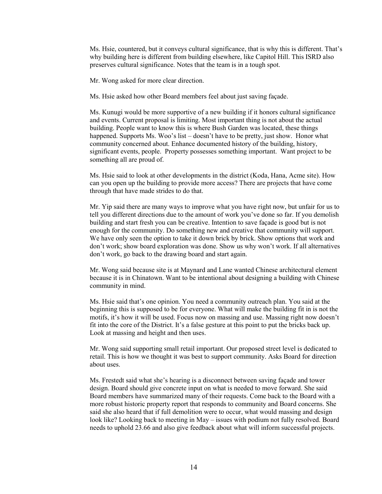Ms. Hsie, countered, but it conveys cultural significance, that is why this is different. That's why building here is different from building elsewhere, like Capitol Hill. This ISRD also preserves cultural significance. Notes that the team is in a tough spot.

Mr. Wong asked for more clear direction.

Ms. Hsie asked how other Board members feel about just saving façade.

Ms. Kunugi would be more supportive of a new building if it honors cultural significance and events. Current proposal is limiting. Most important thing is not about the actual building. People want to know this is where Bush Garden was located, these things happened. Supports Ms. Woo's list – doesn't have to be pretty, just show. Honor what community concerned about. Enhance documented history of the building, history, significant events, people. Property possesses something important. Want project to be something all are proud of.

Ms. Hsie said to look at other developments in the district (Koda, Hana, Acme site). How can you open up the building to provide more access? There are projects that have come through that have made strides to do that.

Mr. Yip said there are many ways to improve what you have right now, but unfair for us to tell you different directions due to the amount of work you've done so far. If you demolish building and start fresh you can be creative. Intention to save façade is good but is not enough for the community. Do something new and creative that community will support. We have only seen the option to take it down brick by brick. Show options that work and don't work; show board exploration was done. Show us why won't work. If all alternatives don't work, go back to the drawing board and start again.

Mr. Wong said because site is at Maynard and Lane wanted Chinese architectural element because it is in Chinatown. Want to be intentional about designing a building with Chinese community in mind.

Ms. Hsie said that's one opinion. You need a community outreach plan. You said at the beginning this is supposed to be for everyone. What will make the building fit in is not the motifs, it's how it will be used. Focus now on massing and use. Massing right now doesn't fit into the core of the District. It's a false gesture at this point to put the bricks back up. Look at massing and height and then uses.

Mr. Wong said supporting small retail important. Our proposed street level is dedicated to retail. This is how we thought it was best to support community. Asks Board for direction about uses.

Ms. Frestedt said what she's hearing is a disconnect between saving façade and tower design. Board should give concrete input on what is needed to move forward. She said Board members have summarized many of their requests. Come back to the Board with a more robust historic property report that responds to community and Board concerns. She said she also heard that if full demolition were to occur, what would massing and design look like? Looking back to meeting in May – issues with podium not fully resolved. Board needs to uphold 23.66 and also give feedback about what will inform successful projects.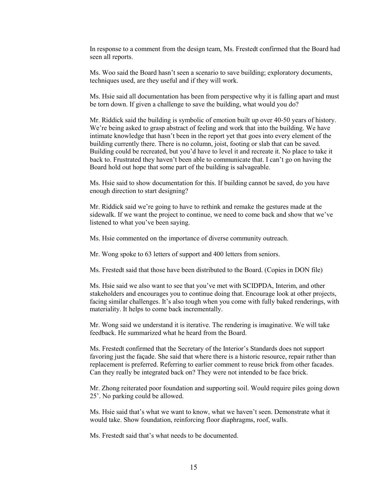In response to a comment from the design team, Ms. Frestedt confirmed that the Board had seen all reports.

Ms. Woo said the Board hasn't seen a scenario to save building; exploratory documents, techniques used, are they useful and if they will work.

Ms. Hsie said all documentation has been from perspective why it is falling apart and must be torn down. If given a challenge to save the building, what would you do?

Mr. Riddick said the building is symbolic of emotion built up over 40-50 years of history. We're being asked to grasp abstract of feeling and work that into the building. We have intimate knowledge that hasn't been in the report yet that goes into every element of the building currently there. There is no column, joist, footing or slab that can be saved. Building could be recreated, but you'd have to level it and recreate it. No place to take it back to. Frustrated they haven't been able to communicate that. I can't go on having the Board hold out hope that some part of the building is salvageable.

Ms. Hsie said to show documentation for this. If building cannot be saved, do you have enough direction to start designing?

Mr. Riddick said we're going to have to rethink and remake the gestures made at the sidewalk. If we want the project to continue, we need to come back and show that we've listened to what you've been saying.

Ms. Hsie commented on the importance of diverse community outreach.

Mr. Wong spoke to 63 letters of support and 400 letters from seniors.

Ms. Frestedt said that those have been distributed to the Board. (Copies in DON file)

Ms. Hsie said we also want to see that you've met with SCIDPDA, Interim, and other stakeholders and encourages you to continue doing that. Encourage look at other projects, facing similar challenges. It's also tough when you come with fully baked renderings, with materiality. It helps to come back incrementally.

Mr. Wong said we understand it is iterative. The rendering is imaginative. We will take feedback. He summarized what he heard from the Board.

Ms. Frestedt confirmed that the Secretary of the Interior's Standards does not support favoring just the façade. She said that where there is a historic resource, repair rather than replacement is preferred. Referring to earlier comment to reuse brick from other facades. Can they really be integrated back on? They were not intended to be face brick.

Mr. Zhong reiterated poor foundation and supporting soil. Would require piles going down 25'. No parking could be allowed.

Ms. Hsie said that's what we want to know, what we haven't seen. Demonstrate what it would take. Show foundation, reinforcing floor diaphragms, roof, walls.

Ms. Frestedt said that's what needs to be documented.